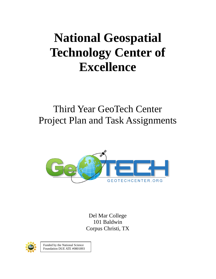## **National Geospatial Technology Center of Excellence**

## Third Year GeoTech Center Project Plan and Task Assignments



Del Mar College 101 Baldwin Corpus Christi, TX



Funded by the National Science Foundation DUE ATE #0801893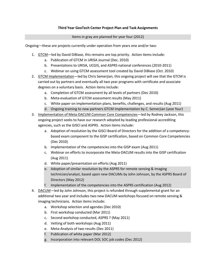## **Third Year GeoTech Center Project Plan and Task Assignments**

Items in gray are planned for year four (2012)

Ongoing—these are projects currently under operation from years one and/or two:

- 1. GTCM-led by David DiBiase, this remains are top priority. Action items include:
	- a. Publication of GTCM in URISA Journal (Dec. 2010)
	- b. Presentations to URISA, UCGIS, and ASPRS national conferences (2010-2011)
	- c. Webinar on using GTCM assessment tool created by David DiBiase (Oct. 2010)
- 2. GTCM Implementation—led by Chris Semerjian, this ongoing project will see that the GTCM is carried out by partners and eventually all two year programs with certificate and associate degrees on a voluntary basis. Action items include:
	- a. Completion of GTCM assessment by all levels of partners (Dec 2010)
	- b. Meta-evaluation of GTCM assessment results (May 2011)
	- c. White paper on implementation plans, benefits, challenges, and results (Aug 2011)
	- d. Ongoing training to new partners GTCM implementation by C. Semerjian (year four)
- 3. Implementation of Meta-DACUM Common Core Competencies-led by Rodney Jackson, this ongoing project seeks to have our research adopted by leading professional accrediting agencies, such as the GISCI and ASPRS. Action items include:
	- a. Adoption of resolution by the GISCI Board of Directors for the addition of a competencybased exam component to the GISP certification, based on Common Core Competencies (Dec 2010)
	- b. Implementation of the competencies into the GISP exam (Aug 2011)
	- c. Webinar on efforts to incorporate the Meta-DACUM results into the GISP certification (Aug 2011)
	- d. White paper/presentation on efforts (Aug 2011)
	- e. Adoption of similar resolution by the ASPRS for remote sensing & imaging technician/analyst, based upon new DACUMs by John Johnson, by the ASPRS Board of Directors (May 2012)
	- f. Implementation of the competencies into the ASPRS certification (Aug 2012)
- 4. DACUM-led by John Johnson, this project is refunded through supplemental grant for an additional two year and includes two new DACUM workshops focused on remote sensing & imaging technicians. Action items include:
	- a. Workshop selection and agendas (Dec 2010)
	- b. First workshop conducted (Mar 2011)
	- c. Second workshop conducted, ASPRS ? (May 2011)
	- d. Vetting of both workshops (Aug 2011)
	- e. Meta-Analysis of two results (Dec 2011)
	- f. Publication of white paper (Mar 2012)
	- g. Incorporation into relevant DOL SOC job codes (Dec 2012)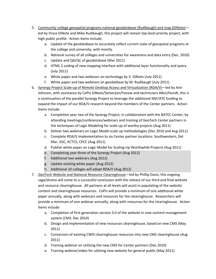- 5. Community college geospatial programs national geodatabase (Rudibaugh) and map (DiNoto)led by Vince DiNoto and Mike Rudibaugh, this project will remain top-level priority project, with high public profile. Action items include:
	- a. Update of the geodatabase to accurately reflect current state of geospatial programs at the college and university, with montly.
	- b. National survey of all colleges and universities for awareness and data entry (Dec. 2010)
	- c. Update and QA/QC of geodatabase (Mar 2011)
	- d. HTML 5 coding of new mapping interface with additional layer functionality and query (July 2011)
	- e. White paper and two webinars on technology by V. DiNoto (July 2011)
	- f. White paper and two webinars on geodatbase by M. Rudibaugh (July 2011)
- 6. Synergy Project Scale-up of Remote Desktop Access and Virtualization (RDA/V)—led by Ann Johnson, with assistance by CoPIs DiNoto/Semerjian/Yanow and technicians Allen/Hundt, this is a continuation of the parallel Synergy Project to leverage the additional NSF/ATE funding to expand the impact of our RDA/V research beyond the members of the Center partners. Action items include:
	- a. Completion year two of the Synergy Project, in collaboration with the BATEC Center, by attending meetings/conferences/webinars and training of GeoTech Center partners in the techniques of Logic Modeling for scale-up of worthy projects (Aug 2011)
	- b. Deliver two webinars on Logic Model scale up methodologies (Dec 2010 and Aug 2011)
	- c. Complete RDA/V implementation to six Center partner locations: Southwestern, Del Mar, GSC, KCTCS, CPCC (Aug 2011)
	- d. Publish white paper on Logic Model for Scaling-Up Worthwhile Projects (Aug 2011)
	- e. Completing year three of the Synergy Project (Aug 2012)
	- f. Additional two webinars (Aug 2012)
	- g. Update existing white paper (Aug 2012)
	- h. Additional 10 colleges will adopt RDA/V (Aug 2012)
- 7. GeoTech Website and National Resource Clearinghouse—led by Phillip Davis, this ongoing saga/drama will come to a successful conclusion with the release of our third and final website and resource clearinghouse. All partners at all levels will assist in populating of the website content and clearinghouse resources. CoPIs will provide a minimum of one additional white paper annually, along with webinars and resources for the clearinghouse. Researchers will provide a minimum of one webinar annually, along with resources for the clearinghouse. Action items include:
	- a. Completion of first generation version 3.0 of the website in new content management system (CMS. Dec 2010)
	- b. Design and implementation of new resources clearinghouse, based on new CMS (May 2011)
	- c. Conversion of existing CWIS clearinghouse resources into new CMS clearinghouse (Aug 2011)
	- d. Training webinar on utilizing the new CMS for Center partners (Dec 2010)
	- e. Training webinar/video for utilizing new website for general public (May 2011)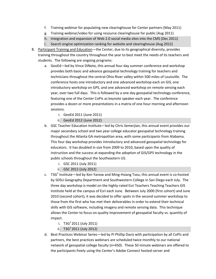- f. Training webinar for populating new clearinghouse for Center partners (May 2011)
- g. Training webinar/video for using resource clearinghouse for public (Aug 2011)
- h. Integration and expansion of Web 2.0 social media sites into the CMS (Dec 2011)
- i. Search engine optimization ranking for website and clearinghouse (Aug 2012)
- 8. Participant Training and Education-the Center, due to its geographical diversity, provides training throughout the country throughout the year to best meet the needs of its teachers and students. The following are ongoing programs:
	- a. GeoEd—led by Vince DiNoto, this annual four day summer conference and workshop provides both basic and advance geospatial technology training for teachers and technicians throughout the central Ohio River valley within 500 miles of Louisville. The conference hosts one introductory and one advanced workshop each on GIS, one introductory workshop on GPS, and one advanced workshop on remote sensing each year, over two full days. This is followed by a one day geospatial technology conference, featuring one of the Center CoPIs as keynote speaker each year. The conference provides a dozen or more presentations in a matrix of one hour morning and afternoon sessions.
		- i. GeoEd 2011 (June 2011)
		- ii. GeoEd 2012 (June 2012)
	- b. GSC Teacher Education Institute—led by Chris Semerjian, this annual event provides our major secondary school and two year college educator geospatial technology training throughout the Atlanta GA metropolitan area, with some participants from Alabama. This four day workshop provides introductory and advanced geospatial technology for educators. It has doubled in size from 2009 to 2010, based upon the quality of instruction and the success at expanding the adoption of GIS/GPS technology in the public schools throughout the Southeastern US.
		- i. GSC 2011 (July 2011)
		- ii. GSC 2012 (July 2012)
	- c.  $T3G<sup>2</sup>$  Institute—led by Ken Yanow and Ming-Hsiang Tsou, this annual event is co-hosted by SDSU Geography Department and Southwestern College in San Diego each July. The three day workshop is model on the highly-rated Esri Teachers Teaching Teachers GIS Institute held at the campus of Esri each June. Between July 2000 (first cohort) and June 2010 (second cohort), it was decided to offer spots in the second summer workshop to those from the first who has met their deliverables in order to extend their technical skills with GIS software, including imagery and remote sensing data. This technique allows the Center to focus on quality improvement of geospatial faculty vs. quantity of impact.
		- i.  $T3G^2 2011$  (July 2011)
		- ii.  $T3G^2 2011$  (July 2012)
	- d. Best Practices Webinar Series—led by PI Phillip Davis with participation by all CoPIs and partners, the best practices webinars are scheduled twice monthly to our national network of geospatial college faculty (*n*=450). These 50 minute webinars are offered to the participants freely using the Center's Adobe Connect hosted-server and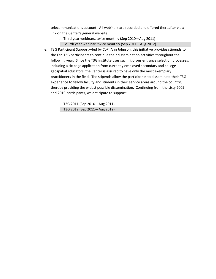telecommunications account. All webinars are recorded and offered thereafter via a link on the Center's general website.

- i. Third year webinars, twice monthly (Sep 2010—Aug 2011)
- ii. Fourth year webinar, twice monthly (Sep 2011—Aug 2012)
- e. T3G Participant Support—led by CoPI Ann Johnson, this initiative provides stipends to the Esri T3G participants to continue their dissemination activities throughout the following year. Since the T3G institute uses such rigorous entrance selection processes, including a six page application from currently employed secondary and college geospatial educators, the Center is assured to have only the most exemplary practitioners in the field. The stipends allow the participants to disseminate their T3G experience to fellow faculty and students in their service areas around the country, thereby providing the widest possible dissemination. Continuing from the sixty 2009 and 2010 participants, we anticipate to support:
	- i. T3G 2011 (Sep 2010—Aug 2011)
	- ii. T3G 2012 (Sep 2011—Aug 2012)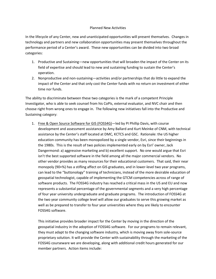## Planned New Activities

In the lifecycle of any Center, new and unanticipated opportunities will present themselves. Changes in technology and partners and new collaboration opportunities may present themselves throughout the performance period of a Center's award. These new opportunities can be divided into two broad categories:

- 1. Productive and Sustaining—new opportunities that will broaden the impact of the Center on its field of expertise and should lead to new and sustaining funding to sustain the Center's operation.
- 2. Nonproductive and non-sustaining—activities and/or partnerships that do little to expand the impact of the Center and that only cost the Center funds with no return on investment of either time nor funds.

The ability to discriminate between these two categories is the mark of a competent Principle Investigator, who is able to seek counsel from his CoPIs, external evaluator, and NVC chair and then choose right from wrong ones to engage in. The following new initiatives fall into the Productive and Sustaining category:

1. Free & Open Source Software for GIS (FOSS4G)—led by PI Phillip Davis, with course development and assessment assistance by Amy Ballard and Kurt Meinke of CNM, with technical assistance by the Center's staff located at DMC, KCTCS and GSC. Rationale: the US higher education community has been monopolized by a single vendor, Esri, since their beginnings in the 1980s. This is the result of two policies implemented early on by Esri' owner, Jack Dangermond: a) aggressive marketing and b) excellent support. No one would argue that Esri isn't the best supported software in the field among all the major commercial vendors. No other vendor provides as many resources for their educational customers. That said, their near monopoly (90+%) has a stifling affect on GIS graduates, and in lower-level two year programs, can lead to the "buttonology" training of technicians, instead of the more desirable education of geospatial technologist, capable of implementing the GTCM competencies across of range of software products. The FOSS4G industry has reached a critical mass in the US and EU and now represents a substantial percentage of the governmental segments and a very high percentage of four year university undergraduate and graduate programs. The introduction of FOSS4G at the two year community college level will allow our graduates to serve this growing market as well as be prepared to transfer to four year universities where they are likely to encounter FOSS4G software.

This initiative provides broader impact for the Center by moving in the direction of the geospatial industry in the adoption of FOSS4G software. For our programs to remain relevant, they must adapt to the changing software industry, which is moving away from sole-source proprietary solution. It will provide the Center with sustainability through the marketing of the FOSS4G courseware we are developing, along with additional credit hours generated for our member partners. Action items include: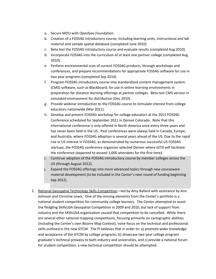- a. Secure MOU with OpenGeo Foundation.
- b. Creation of a FOSS4G introductory course, including learning units, instructional and lab material and sample spatial database (completed June 2010).
- c. Beta test the FOSS4G introductory course and evaluate results (completed Aug 2010).
- d. Incorporate FOSS4G into the curriculum of at least one partner college (completed Aug 2010).
- e. Perform environmental scan of current FOSS4G products, through workshops and conferences, and prepare recommendations for appropriate FOSS4G software for use in two year programs (completed Sep 2010).
- f. Program FOSS4G introductory course into standardized content management system (CMS) software, such as Blackboard, for use in online learning environments in preparation for distance learning offerings at partner colleges. Beta test CMS version in simulated environment for distribution (Dec 2010).
- g. Provide webinar introduction to the FOSS4G course to stimulate interest from college educators nationwide (Mar 2011).
- h. Develop and present FOSS4G workshop for college educators at the 2011 FOSS4G Conference scheduled for September 2011 in Denver Colorado. Note that this international conference is only offered in North America once every three years and has never been held in the US. Past conferences were always held in Canada, Europe, and Australia, where FOSS4G adoption is several years ahead of the US. Due to the rapid rise in US interest in FOSS4G, as demonstrated by numerous successful US FOSS4G startups, the FOSS4G conference organizer selected Denver where GITA will facilitate the conference (expected to exceed 1,000 attendees for the first time).
- i. Continue adoption of the FOSS4G introductory course by member colleges across the US (through August 2012).
- j. Expand the FOSS4G offerings into more advanced topics through new courseware material development (to be included in the Center's next round of funding beginning Sep 2012).
- 2. National Geospatial Technology Skills Competition—led by Amy Ballard with assistance by Ann Johnson and Christine Lewis. One of the missing elements from the Center's portfolio is a national student competition for community college learners. The Center attempted to assist the fledgling SkillsUSA Geospatial Competition in 2009 and 2010, but lack of support from industry and the SKillsUSA organization caused that competition to be cancelled. While there are several other national mapping competitions, focusing primarily on cartographic abilities (including the Center's own Bizarre Map Contest), none focus on the technical and professional skills outlined in the new GTCM. The PI believes that in order to: a) promote wider knowledge and acceptance of the GTCM by college programs, b) showcase two year college program graduate's technical prowess to both industry and universities, and c) provide a national forum for student competition, a new technical competition should be attempted.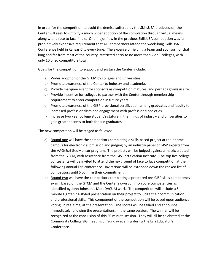In order for the competition to avoid the demise suffered by the SkillsUSA predecessor, the Center will seek to simplify a much wider adoption of the completion through virtual means, along with a face to face finale. One major flaw in the previous SkillsUSA competition was its prohibitively expensive requirement that ALL competitors attend the week-long SkillsUSA Conference held in Kansas City every June. The expense of fielding a team and sponsor, for that long and far from most of the country, restricted entry to no more than 2 or 3 colleges, with only 10 or so competitors total.

Goals for the competition to support and sustain the Center include:

- a) Wider adoption of the GTCM by colleges and universities.
- b) Promote awareness of the Center to industry and academia.
- c) Provide marquee event for sponsors as competition matures, and perhaps grows in size.
- d) Provide incentive for colleges to partner with the Center through membership requirement to enter competition in future years.
- e) Promote awareness of the GISP provisional certification among graduates and faculty to increased professionalism and engagement with professional societies.
- f) Increase two year college student's stature in the minds of industry and universities to gain greater access to both for our graduates.

The new competition will be staged as follows:

- a) Round one will have the competitors completing a skills-based project at their home campus for electronic submission and judging by an industry panel of GISP experts from the AAG/Esri GeoMentor program. The projects will be judged against a matrix created from the GTCM, with assistance from the GIS Certification Institute. The top five college contestants will be invited to attend the next round of face to face competition at the following annual Esri conference. Invitations will be extended down the ranked list of competitors until 5 confirm their commitment.
- b) Round two will have the competitors completing a proctored pre-GISP skills competency exam, based on the GTCM and the Center's own common core competencies as identified by John Johnson's MetaDACUM work. The competition will include a 5 minute Lightening-styled presentation on their project to judge their communication and professional skills. This component of the competition will be based upon audience voting, in real time, at the presentation. The scores will be tallied and announce immediately following the presentations, in the same session. The winner will be recognized at the conclusion of this 50 minute session. They will all be celebrated at the Community College SIG meeting on Sunday evening during the Esri Educator's Conference.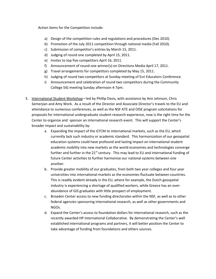Action items for the Competition include:

- a) Design of the competition rules and regulations and procedures (Dec 2010).
- b) Promotion of the July 2011 competition through national media (Fall 2010).
- c) Submission of competitor's entries by March 15, 2011.
- d) Judging of round one completed by April 15, 2011.
- e) Invites to top five competitors April 16, 2011.
- f) Announcement of round one winner(s) on Directions Media April 17, 2011.
- g) Travel arrangements for competitors completed by May 15, 2011.
- h) Judging of round two competitors at Sunday meeting of Esri Educators Conference.
- i) Announcement and celebration of round two competitors during the Community College SIG meeting Sunday afternoon 4-7pm.
- 3. International Student Workshop-led by Phillip Davis, with assistance by Ann Johnson, Chris Semerjian and Amy Work. As a result of the Director and Associate Director's travels to the EU and attendance to numerous conferences, as well as the NSF ATE and OISE program solicitations for proposals for international undergraduate student research experience, now is the right time for the Center to organize and sponsor an international research event. This will support the Center's broader impact and sustainability by:
	- a. Expanding the impact of the GTCM to international markets, such as the EU, which currently lack such industry or academic standard. This harmonization of our geospatial education systems could have profound and lasting impact on international student academic mobility into new markets as the world economies and technologies converge further and further in the  $21<sup>st</sup>$  century. This may lead to EU and international funding of future Center activities to further harmonize our national systems between one another.
	- b. Provide greater mobility of our graduates, from both two year colleges and four year universities into international markets as the economies fluctuate between countries. This is readily evident already in the EU, where for example, the Dutch geospatial industry is experiencing a shortage of qualified workers, while Greece has an overabundance of GIS graduates with little prospect of employment.
	- c. Broaden Center access to new funding directorates within the NSF, as well as to other federal agencies sponsoring international research, as well as other governments and NGOs.
	- d. Expand the Center's access to foundation dollars for international research, such as the recently awarded HP International Collaborative. By demonstrating the Center's well established international programs and partners, it will better position the Center to take advantage of funding from foundations and others sources.